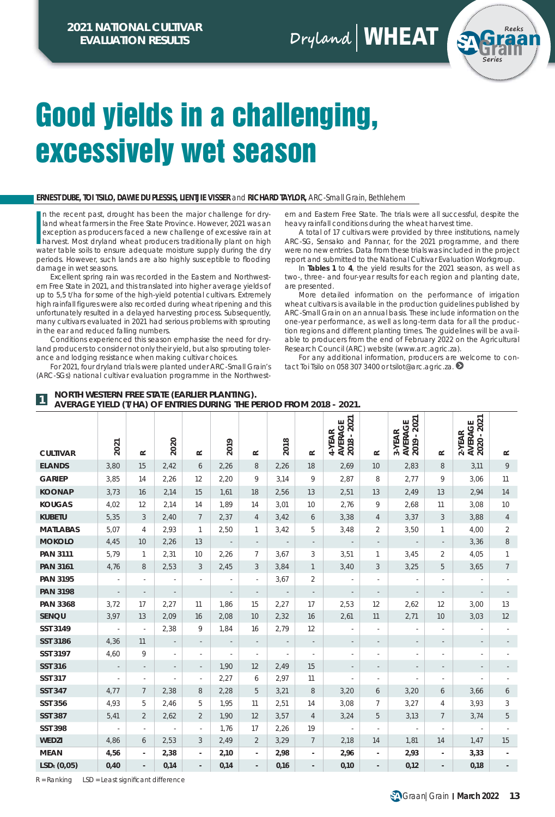**Dryland** WHEAT



## Good yields in a challenging, excessively wet season

#### **ERNEST DUBE, TOI TSILO, DAWIE DU PLESSIS, LIENTJIE VISSER** and **RICHARD TAYLOR,** ARC-Small Grain, Bethlehem

In the recent past, drought has been the major challenge for dry-<br>land wheat farmers in the Free State Province. However, 2021 was an<br>exception as producers faced a new challenge of excessive rain at<br>arvest. Most dryland w n the recent past, drought has been the major challenge for dryland wheat farmers in the Free State Province. However, 2021 was an exception as producers faced a new challenge of excessive rain at water table soils to ensure adequate moisture supply during the dry periods. However, such lands are also highly susceptible to flooding damage in wet seasons.

Excellent spring rain was recorded in the Eastern and Northwestern Free State in 2021, and this translated into higher average yields of up to 5,5 t/ha for some of the high-yield potential cultivars. Extremely high rainfall figures were also recorded during wheat ripening and this unfortunately resulted in a delayed harvesting process. Subsequently, many cultivars evaluated in 2021 had serious problems with sprouting in the ear and reduced falling numbers.

Conditions experienced this season emphasise the need for dryland producers to consider not only their yield, but also sprouting tolerance and lodging resistance when making cultivar choices.

For 2021, four dryland trials were planted under ARC-Small Grain's (ARC-SGs) national cultivar evaluation programme in the Northwestern and Eastern Free State. The trials were all successful, despite the heavy rainfall conditions during the wheat harvest time.

A total of 17 cultivars were provided by three institutions, namely ARC-SG, Sensako and Pannar, for the 2021 programme, and there were no new entries. Data from these trials was included in the project report and submitted to the National Cultivar Evaluation Workgroup.

In **Tables 1** to **4**, the yield results for the 2021 season, as well as two-, three- and four-year results for each region and planting date, are presented.

More detailed information on the performance of irrigation wheat cultivars is available in the production guidelines published by ARC-Small Grain on an annual basis. These include information on the one-year performance, as well as long-term data for all the production regions and different planting times. The guidelines will be available to producers from the end of February 2022 on the Agricultural Research Council (ARC) website (*www.arc.agric.za*).

For any additional information, producers are welcome to contact Toi Tsilo on 058 307 3400 or *tsilot@arc.agric.za*.

| AVERAGE TIELD (1/TIA) OF ENTRIES DURING THE FERIOD FROM 2010 - 2021. |                          |                          |                          |                          |                          |                          |                          |                          |                                  |                          |                                  |                          |                                    |                 |
|----------------------------------------------------------------------|--------------------------|--------------------------|--------------------------|--------------------------|--------------------------|--------------------------|--------------------------|--------------------------|----------------------------------|--------------------------|----------------------------------|--------------------------|------------------------------------|-----------------|
| <b>CULTIVAR</b>                                                      | 2021                     | $\simeq$                 | 2020                     | $\simeq$                 | 2019                     | $\simeq$                 | 2018                     | $\approx$                | AVERAGE<br>2018 - 2021<br>4-YEAR | $\simeq$                 | AVERAGE<br>2019 - 2021<br>3-YEAR | $\approx$                | AVERAGE<br>2020 - 2021<br>$2-YEAR$ | $\simeq$        |
| <b>ELANDS</b>                                                        | 3,80                     | 15                       | 2,42                     | 6                        | 2,26                     | 8                        | 2,26                     | 18                       | 2,69                             | 10                       | 2,83                             | 8                        | 3,11                               | 9               |
| <b>GARIEP</b>                                                        | 3,85                     | 14                       | 2,26                     | 12                       | 2,20                     | 9                        | 3,14                     | 9                        | 2,87                             | 8                        | 2,77                             | 9                        | 3,06                               | 11              |
| <b>KOONAP</b>                                                        | 3,73                     | 16                       | 2,14                     | 15                       | 1,61                     | 18                       | 2,56                     | 13                       | 2,51                             | 13                       | 2,49                             | 13                       | 2,94                               | 14              |
| <b>KOUGAS</b>                                                        | 4,02                     | 12                       | 2,14                     | 14                       | 1,89                     | 14                       | 3,01                     | 10                       | 2,76                             | 9                        | 2,68                             | 11                       | 3,08                               | 10 <sup>°</sup> |
| <b>KUBETU</b>                                                        | 5,35                     | 3                        | 2,40                     | $\overline{7}$           | 2,37                     | $\overline{4}$           | 3,42                     | 6                        | 3,38                             | $\overline{4}$           | 3,37                             | 3                        | 3,88                               | $\overline{4}$  |
| <b>MATLABAS</b>                                                      | 5,07                     | 4                        | 2,93                     | $\mathbf{1}$             | 2,50                     | 1                        | 3,42                     | 5                        | 3,48                             | $\overline{2}$           | 3,50                             | $\mathbf{1}$             | 4,00                               | 2               |
| <b>MOKOLO</b>                                                        | 4,45                     | 10                       | 2,26                     | 13                       | $\overline{\phantom{a}}$ | $\overline{\phantom{a}}$ | $\overline{\phantom{a}}$ |                          | $\sim$ $-$                       | $\overline{\phantom{a}}$ | $\overline{\phantom{a}}$         | $\overline{\phantom{a}}$ | 3,36                               | 8               |
| <b>PAN 3111</b>                                                      | 5,79                     | $\mathbf{1}$             | 2,31                     | 10 <sup>°</sup>          | 2,26                     | 7                        | 3,67                     | 3                        | 3,51                             | $\mathbf{1}$             | 3,45                             | 2                        | 4,05                               | $\mathbf{1}$    |
| <b>PAN 3161</b>                                                      | 4,76                     | 8                        | 2,53                     | 3                        | 2,45                     | 3                        | 3,84                     | $\mathbf{1}$             | 3,40                             | 3                        | 3,25                             | 5                        | 3,65                               | $7^{\circ}$     |
| <b>PAN 3195</b>                                                      | $\overline{\phantom{a}}$ | $\overline{\phantom{a}}$ | $\overline{\phantom{a}}$ | ä,                       | $\overline{\phantom{a}}$ | $\overline{\phantom{a}}$ | 3,67                     | $\overline{2}$           | $\overline{\phantom{a}}$         | $\sim$                   | $\overline{\phantom{a}}$         | $\overline{\phantom{a}}$ |                                    |                 |
| <b>PAN 3198</b>                                                      | $\sim$                   | $\overline{\phantom{a}}$ | $\overline{\phantom{a}}$ |                          | $\overline{\phantom{a}}$ | $\overline{\phantom{a}}$ | $\sim$ $\sim$            | $\overline{\phantom{a}}$ | $\overline{\phantom{a}}$         | $\overline{\phantom{a}}$ | $\overline{\phantom{a}}$         | $\overline{\phantom{a}}$ | $\overline{\phantom{a}}$           |                 |
| <b>PAN 3368</b>                                                      | 3,72                     | 17                       | 2,27                     | 11                       | 1,86                     | 15                       | 2,27                     | 17                       | 2,53                             | 12                       | 2,62                             | 12                       | 3,00                               | 13              |
| SENQU                                                                | 3,97                     | 13                       | 2,09                     | 16                       | 2,08                     | 10                       | 2,32                     | 16                       | 2,61                             | 11                       | 2,71                             | 10                       | 3,03                               | 12              |
| SST 3149                                                             | $\sim$                   | $\overline{\phantom{a}}$ | 2,38                     | 9                        | 1,84                     | 16                       | 2,79                     | 12                       |                                  |                          | ä,                               | $\overline{\phantom{a}}$ |                                    |                 |
| SST 3186                                                             | 4,36                     | 11                       | $\overline{\phantom{a}}$ | $\overline{\phantom{a}}$ | $\overline{\phantom{a}}$ | $\overline{\phantom{a}}$ | $\overline{\phantom{a}}$ | $\overline{\phantom{a}}$ |                                  |                          |                                  |                          |                                    |                 |
| SST 3197                                                             | 4,60                     | 9                        |                          |                          | $\overline{\phantom{a}}$ | $\overline{\phantom{a}}$ |                          |                          |                                  |                          |                                  |                          |                                    |                 |
| <b>SST 316</b>                                                       | $\overline{\phantom{a}}$ | $\overline{\phantom{a}}$ | $\overline{\phantom{a}}$ | $\overline{\phantom{a}}$ | 1,90                     | 12                       | 2,49                     | 15                       | $\overline{\phantom{a}}$         |                          | $\overline{\phantom{a}}$         |                          |                                    |                 |
| <b>SST 317</b>                                                       | ٠                        | $\overline{\phantom{a}}$ | $\overline{\phantom{a}}$ | $\overline{\phantom{a}}$ | 2,27                     | 6                        | 2,97                     | 11                       | $\sim$                           | $\overline{\phantom{a}}$ | ×,                               | $\overline{\phantom{a}}$ | ÷.                                 |                 |
| <b>SST 347</b>                                                       | 4,77                     | $\overline{7}$           | 2,38                     | 8                        | 2,28                     | 5                        | 3,21                     | 8                        | 3,20                             | 6                        | 3,20                             | 6                        | 3,66                               | 6               |
| SST 356                                                              | 4,93                     | 5                        | 2,46                     | 5                        | 1,95                     | 11                       | 2,51                     | 14                       | 3,08                             | $\overline{7}$           | 3,27                             | 4                        | 3,93                               | 3               |
| <b>SST 387</b>                                                       | 5,41                     | $\overline{2}$           | 2,62                     | $\overline{2}$           | 1,90                     | 12                       | 3,57                     | $\overline{4}$           | 3,24                             | 5                        | 3,13                             | $\overline{7}$           | 3,74                               | 5               |
| <b>SST 398</b>                                                       | $\sim$                   | $\overline{\phantom{a}}$ | $\epsilon$               | $\sim$                   | 1,76                     | 17                       | 2,26                     | 19                       | $\sim$                           | $\sim$                   | $\overline{\phantom{a}}$         | $\overline{\phantom{a}}$ | $\overline{\phantom{a}}$           |                 |
| WEDZI                                                                | 4,86                     | 6                        | 2,53                     | 3                        | 2,49                     | $\overline{2}$           | 3,29                     | $7^{\circ}$              | 2,18                             | 14                       | 1,81                             | 14                       | 1,47                               | 15              |
| <b>MEAN</b>                                                          | 4,56                     | $\overline{\phantom{a}}$ | 2,38                     | $\blacksquare$           | 2,10                     | $\overline{\phantom{a}}$ | 2,98                     | $\overline{\phantom{a}}$ | 2,96                             | $\overline{\phantom{a}}$ | 2,93                             | $\blacksquare$           | 3,33                               | $\blacksquare$  |
| $LSDt$ (0,05)                                                        | 0,40                     |                          | 0,14                     |                          | 0,14                     | $\overline{\phantom{0}}$ | 0,16                     |                          | 0,10                             |                          | 0,12                             | $\blacksquare$           | 0,18                               |                 |

**NORTH WESTERN FREE STATE (EARLIER PLANTING). AVERAGE YIELD (T/HA) OF ENTRIES DURING THE PERIOD FROM 2018 - 2021. 1**

 $R =$ Ranking  $\Box$  LSD = Least significant difference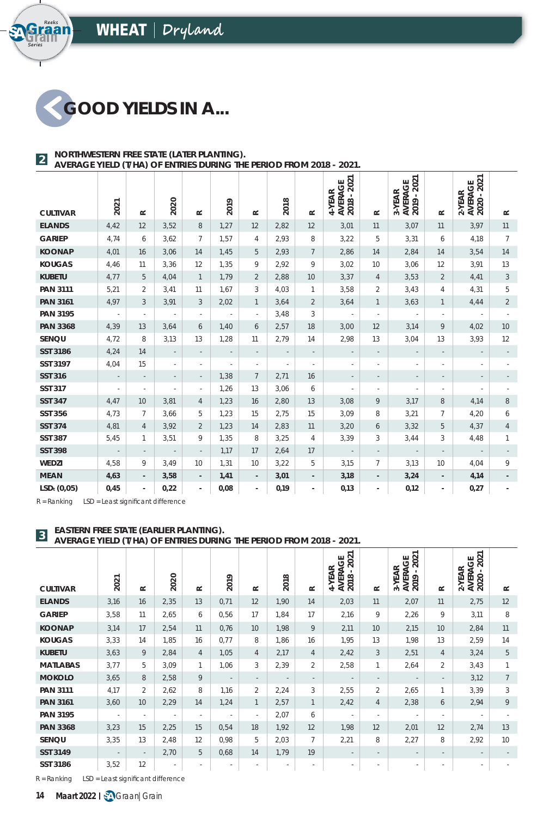

**Series**

araan<br>**Raan** 

#### **NORTHWESTERN FREE STATE (LATER PLANTING). AVERAGE YIELD (T/HA) OF ENTRIES DURING THE PERIOD FROM 2018 - 2021. 2**

|                 |                          |                          |                          |                          |                          |                          |                          |                          | 2021<br>AVERAGE<br>2018 - 202<br>4-YEAR |                          | 2021<br><b>AVERAGE</b><br>2019 - 202<br>3-YEAR |                          | AVERAGE<br>2020 - 2021<br>2-YEAR |                |
|-----------------|--------------------------|--------------------------|--------------------------|--------------------------|--------------------------|--------------------------|--------------------------|--------------------------|-----------------------------------------|--------------------------|------------------------------------------------|--------------------------|----------------------------------|----------------|
| <b>CULTIVAR</b> | 2021                     | $\simeq$                 | 2020                     | $\simeq$                 | 2019                     | $\approx$                | 2018                     | $\simeq$                 |                                         | $\simeq$                 |                                                | $\simeq$                 |                                  | $\simeq$       |
| <b>ELANDS</b>   | 4,42                     | 12                       | 3,52                     | 8                        | 1,27                     | 12                       | 2,82                     | 12                       | 3,01                                    | 11                       | 3,07                                           | 11                       | 3,97                             | 11             |
| <b>GARIEP</b>   | 4,74                     | 6                        | 3,62                     | 7                        | 1,57                     | 4                        | 2,93                     | 8                        | 3,22                                    | 5                        | 3,31                                           | 6                        | 4,18                             | 7              |
| <b>KOONAP</b>   | 4,01                     | 16                       | 3,06                     | 14                       | 1,45                     | 5                        | 2,93                     | $7\overline{ }$          | 2,86                                    | 14                       | 2,84                                           | 14                       | 3,54                             | 14             |
| <b>KOUGAS</b>   | 4,46                     | 11                       | 3,36                     | 12                       | 1,35                     | 9                        | 2,92                     | 9                        | 3,02                                    | 10                       | 3,06                                           | 12                       | 3,91                             | 13             |
| <b>KUBETU</b>   | 4,77                     | 5                        | 4,04                     | $\mathbf{1}$             | 1.79                     | $\overline{2}$           | 2,88                     | 10                       | 3,37                                    | $\overline{4}$           | 3,53                                           | $\overline{2}$           | 4,41                             | 3              |
| <b>PAN 3111</b> | 5,21                     | 2                        | 3,41                     | 11                       | 1,67                     | 3                        | 4,03                     | $\mathbf{1}$             | 3,58                                    | $\overline{2}$           | 3,43                                           | 4                        | 4,31                             | 5              |
| <b>PAN 3161</b> | 4,97                     | 3                        | 3,91                     | 3                        | 2,02                     | $\mathbf{1}$             | 3,64                     | $\overline{2}$           | 3,64                                    | $\mathbf{1}$             | 3,63                                           | $\mathbf{1}$             | 4,44                             | $\overline{2}$ |
| <b>PAN 3195</b> | $\sim$                   | $\sim$                   | $\overline{\phantom{a}}$ | ä,                       | $\overline{\phantom{a}}$ | $\overline{\phantom{a}}$ | 3,48                     | 3                        | $\mathcal{L}$                           | $\overline{\phantom{a}}$ | $\sim$                                         | $\overline{\phantom{a}}$ | $\sim$                           | $\sim$         |
| <b>PAN 3368</b> | 4,39                     | 13                       | 3,64                     | 6                        | 1,40                     | 6                        | 2,57                     | 18                       | 3,00                                    | 12                       | 3,14                                           | 9                        | 4,02                             | 10             |
| SENQU           | 4,72                     | 8                        | 3,13                     | 13                       | 1,28                     | 11                       | 2,79                     | 14                       | 2,98                                    | 13                       | 3,04                                           | 13                       | 3,93                             | 12             |
| <b>SST 3186</b> | 4,24                     | 14                       | $\overline{\phantom{a}}$ | $\overline{\phantom{a}}$ | $\overline{\phantom{a}}$ | $\overline{\phantom{a}}$ | $\overline{\phantom{a}}$ | $\overline{\phantom{a}}$ | $\overline{\phantom{a}}$                | $\overline{\phantom{a}}$ | $\overline{\phantom{a}}$                       | $\overline{\phantom{a}}$ | $\overline{\phantom{a}}$         |                |
| SST 3197        | 4,04                     | 15                       | $\overline{\phantom{a}}$ | ٠                        | $\overline{\phantom{a}}$ | $\overline{\phantom{a}}$ | $\overline{\phantom{a}}$ | $\overline{\phantom{a}}$ | $\sim$                                  | $\overline{\phantom{a}}$ | $\overline{\phantom{a}}$                       | ٠                        | $\overline{\phantom{a}}$         |                |
| <b>SST 316</b>  | $\overline{\phantom{a}}$ | $\overline{\phantom{a}}$ | $\overline{\phantom{a}}$ | $\overline{\phantom{a}}$ | 1,38                     | $\overline{7}$           | 2,71                     | 16                       | $\overline{\phantom{a}}$                | $\overline{\phantom{a}}$ | $\overline{\phantom{a}}$                       | $\overline{\phantom{m}}$ | $\overline{\phantom{a}}$         |                |
| <b>SST 317</b>  | $\overline{\phantom{a}}$ |                          | ×                        | $\overline{\phantom{a}}$ | 1,26                     | 13                       | 3,06                     | 6                        | $\overline{\phantom{a}}$                | $\overline{\phantom{a}}$ | $\overline{\phantom{a}}$                       | $\overline{\phantom{a}}$ | $\overline{\phantom{a}}$         |                |
| <b>SST 347</b>  | 4,47                     | 10                       | 3,81                     | 4                        | 1,23                     | 16                       | 2,80                     | 13                       | 3,08                                    | 9                        | 3,17                                           | 8                        | 4,14                             | 8              |
| <b>SST 356</b>  | 4,73                     | $\overline{7}$           | 3,66                     | 5                        | 1,23                     | 15                       | 2,75                     | 15                       | 3,09                                    | 8                        | 3,21                                           | $\overline{7}$           | 4,20                             | 6              |
| <b>SST 374</b>  | 4,81                     | $\overline{4}$           | 3,92                     | $\overline{2}$           | 1,23                     | 14                       | 2,83                     | 11                       | 3,20                                    | 6                        | 3,32                                           | 5                        | 4,37                             | $\overline{4}$ |
| <b>SST 387</b>  | 5,45                     | 1                        | 3,51                     | 9                        | 1,35                     | 8                        | 3,25                     | $\overline{4}$           | 3,39                                    | 3                        | 3,44                                           | 3                        | 4,48                             | $\mathbf{1}$   |
| <b>SST 398</b>  | $\sim$                   | $\overline{\phantom{a}}$ | $\overline{\phantom{a}}$ | $\overline{\phantom{a}}$ | 1,17                     | 17                       | 2,64                     | 17                       | $\sim$                                  | $\overline{\phantom{a}}$ | $\sim$                                         | $\overline{\phantom{a}}$ | $\sim$                           |                |
| WEDZI           | 4,58                     | 9                        | 3,49                     | 10                       | 1,31                     | 10                       | 3,22                     | 5                        | 3,15                                    | $\overline{7}$           | 3,13                                           | 10                       | 4,04                             | 9              |
| <b>MEAN</b>     | 4,63                     | $\overline{\phantom{a}}$ | 3,58                     | $\overline{\phantom{a}}$ | 1,41                     | $\overline{\phantom{a}}$ | 3,01                     | $\overline{\phantom{a}}$ | 3,18                                    | $\overline{\phantom{a}}$ | 3,24                                           | $\overline{\phantom{a}}$ | 4,14                             |                |
| $LSDt$ (0,05)   | 0,45                     | $\overline{\phantom{a}}$ | 0,22                     | $\overline{\phantom{a}}$ | 0,08                     | $\overline{\phantom{a}}$ | 0,19                     | ٠                        | 0,13                                    | $\overline{\phantom{a}}$ | 0,12                                           | $\overline{\phantom{0}}$ | 0,27                             |                |

 $R =$  Ranking LSD = Least significant difference

#### **EASTERN FREE STATE (EARLIER PLANTING).**

**AVERAGE YIELD (THAN OF ENTRIES DURING). AVERAGE YIELD (THA) OF ENTRIES DURING THE PERIOD FROM 2018 - 2021.** 

| <b>CULTIVAR</b> | 2021   | $\approx$      | 2020                     | $\simeq$                 | 2019                     | $\simeq$                 | 2018                     | $\simeq$                 | 2021<br>AVERAGE<br>2018 - 202<br>-YEAR<br>4 | $\simeq$                 | 2021<br>AGE<br>3-YEAR<br><b>AVER.</b><br>2019 - | $\simeq$                 | 2021<br><b>AVERAGE</b><br>2020 - 202<br>2-YEAR | $\simeq$        |
|-----------------|--------|----------------|--------------------------|--------------------------|--------------------------|--------------------------|--------------------------|--------------------------|---------------------------------------------|--------------------------|-------------------------------------------------|--------------------------|------------------------------------------------|-----------------|
| <b>ELANDS</b>   | 3,16   | 16             | 2,35                     | 13                       | 0,71                     | 12                       | 1,90                     | 14                       | 2,03                                        | 11                       | 2,07                                            | 11                       | 2,75                                           | 12              |
| <b>GARIEP</b>   | 3,58   | 11             | 2,65                     | 6                        | 0,56                     | 17                       | 1,84                     | 17                       | 2,16                                        | 9                        | 2,26                                            | 9                        | 3,11                                           | 8               |
| <b>KOONAP</b>   | 3,14   | 17             | 2,54                     | 11                       | 0,76                     | 10 <sup>°</sup>          | 1,98                     | 9                        | 2,11                                        | 10                       | 2,15                                            | 10                       | 2,84                                           | 11              |
| <b>KOUGAS</b>   | 3,33   | 14             | 1,85                     | 16                       | 0,77                     | 8                        | 1,86                     | 16                       | 1,95                                        | 13                       | 1,98                                            | 13                       | 2,59                                           | 14              |
| <b>KUBETU</b>   | 3,63   | 9              | 2,84                     | $\overline{4}$           | 1,05                     | 4                        | 2,17                     | $\overline{4}$           | 2,42                                        | 3                        | 2,51                                            | 4                        | 3,24                                           | 5               |
| <b>MATLABAS</b> | 3,77   | 5              | 3,09                     | 1                        | 1,06                     | 3                        | 2,39                     | $\overline{2}$           | 2,58                                        | 1                        | 2,64                                            | $\overline{2}$           | 3,43                                           |                 |
| <b>MOKOLO</b>   | 3,65   | 8              | 2,58                     | 9                        | $\overline{\phantom{a}}$ | $\overline{\phantom{a}}$ | $\overline{\phantom{a}}$ | $\overline{\phantom{a}}$ | $\sim$                                      | $\overline{\phantom{a}}$ | $\sim$                                          | $\overline{\phantom{a}}$ | 3,12                                           | $\overline{7}$  |
| <b>PAN 3111</b> | 4,17   | $\overline{2}$ | 2,62                     | 8                        | 1,16                     | $\overline{2}$           | 2,24                     | 3                        | 2,55                                        | $\overline{2}$           | 2,65                                            | $\mathbf{1}$             | 3,39                                           | 3               |
| <b>PAN 3161</b> | 3,60   | 10             | 2,29                     | 14                       | 1,24                     | 1                        | 2,57                     | $\mathbf{1}$             | 2,42                                        | $\overline{4}$           | 2,38                                            | 6                        | 2,94                                           | 9               |
| <b>PAN 3195</b> | $\sim$ | ٠              | $\sim$                   | $\sim$                   | $\sim$                   | $\sim$                   | 2,07                     | 6                        | $\sim$                                      | ٠                        | $\sim$                                          | ٠                        | $\sim$                                         |                 |
| <b>PAN 3368</b> | 3,23   | 15             | 2,25                     | 15                       | 0,54                     | 18                       | 1,92                     | 12                       | 1,98                                        | 12                       | 2,01                                            | 12                       | 2,74                                           | 13              |
| SENQU           | 3,35   | 13             | 2,48                     | 12                       | 0,98                     | 5                        | 2,03                     | 7                        | 2,21                                        | 8                        | 2,27                                            | 8                        | 2,92                                           | 10 <sup>1</sup> |
| <b>SST 3149</b> | $\sim$ | $\sim$         | 2,70                     | 5                        | 0,68                     | 14                       | 1,79                     | 19                       | $\sim$                                      | $\sim$                   | $\sim$                                          | $\sim$                   | $\sim$                                         |                 |
| SST 3186        | 3,52   | 12             | $\overline{\phantom{a}}$ | $\overline{\phantom{a}}$ | ۰.                       | ۰.                       | ٠                        | ٠                        | $\sim$                                      |                          | $\sim$                                          | ٠                        | $\sim$                                         |                 |

 $R =$  Ranking LSD = Least significant difference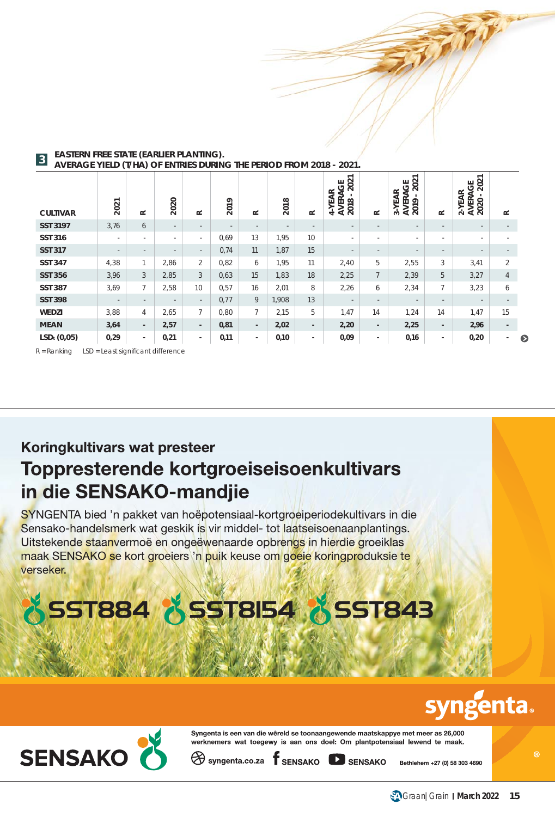| <b>CULTIVAR</b>         | 2021   | $\simeq$                 | 2020                     | $\simeq$                 | 2019 | $\simeq$                 | 2018   | $\approx$                | 2021<br>෪<br>-YEAR<br>⋖<br><b>VER</b><br>2018<br>⋖<br>4 | $\approx$                | 2021<br>შ<br>3-YEAR<br><b>VERA</b><br><b>AVER</b><br>2019 | $\simeq$          | 2021<br>AVERAGE<br>2020 - 202<br>E<br>ΥĔ<br>$\sim$ | $\simeq$                 |  |
|-------------------------|--------|--------------------------|--------------------------|--------------------------|------|--------------------------|--------|--------------------------|---------------------------------------------------------|--------------------------|-----------------------------------------------------------|-------------------|----------------------------------------------------|--------------------------|--|
| <b>SST 3197</b>         | 3,76   | 6                        | $\overline{\phantom{a}}$ | $\overline{\phantom{a}}$ |      | $\overline{\phantom{a}}$ | $\sim$ | $\overline{\phantom{a}}$ | $\overline{\phantom{a}}$                                | $\overline{\phantom{a}}$ | $\overline{\phantom{a}}$                                  | $\qquad \qquad -$ | $\sim$                                             |                          |  |
| <b>SST 316</b>          |        | $\sim$                   | ٠                        | $\sim$                   | 0.69 | 13                       | 1.95   | 10                       | ٠.                                                      | ٠                        | ٠                                                         | ٠                 | ٠.                                                 |                          |  |
| <b>SST 317</b>          | $\sim$ | $\sim$                   | $\overline{\phantom{a}}$ | $\sim$                   | 0,74 | 11                       | 1,87   | 15                       | $\overline{\phantom{a}}$                                | $\overline{\phantom{a}}$ | $\sim$                                                    | $\sim$            | $\sim$                                             | $\overline{\phantom{a}}$ |  |
| <b>SST 347</b>          | 4,38   | $\overline{1}$           | 2,86                     | $\overline{2}$           | 0,82 | 6                        | 1,95   | 11                       | 2,40                                                    | 5                        | 2,55                                                      | 3                 | 3,41                                               | $\overline{2}$           |  |
| <b>SST 356</b>          | 3,96   | 3                        | 2,85                     | 3                        | 0,63 | 15                       | 1,83   | 18                       | 2,25                                                    | $\overline{7}$           | 2,39                                                      | 5                 | 3,27                                               | $\overline{4}$           |  |
| <b>SST 387</b>          | 3,69   | $\overline{7}$           | 2,58                     | 10                       | 0,57 | 16                       | 2,01   | 8                        | 2,26                                                    | 6                        | 2,34                                                      | $\overline{7}$    | 3,23                                               | 6                        |  |
| <b>SST 398</b>          | $\sim$ | $\sim$                   | $\overline{\phantom{a}}$ | $\sim$                   | 0,77 | 9                        | 1,908  | 13                       | $\sim$                                                  | $\sim$                   | $\sim$                                                    | $\qquad \qquad -$ | $\sim$                                             | $\sim$                   |  |
| WEDZI                   | 3,88   | $\overline{4}$           | 2,65                     | $\overline{7}$           | 0,80 | $7^{\circ}$              | 2,15   | 5                        | 1,47                                                    | 14                       | 1,24                                                      | 14                | 1,47                                               | 15                       |  |
| <b>MEAN</b>             | 3,64   | $\overline{\phantom{a}}$ | 2,57                     | $\sim$                   | 0,81 | $\blacksquare$           | 2,02   | $\overline{\phantom{a}}$ | 2,20                                                    | $\sim$                   | 2,25                                                      | $\sim$            | 2,96                                               | $\sim$                   |  |
| LSD <sub>t</sub> (0,05) | 0,29   | $\sim$                   | 0,21                     | $\blacksquare$           | 0,11 | $\blacksquare$           | 0,10   | ٠                        | 0,09                                                    | $\sim$                   | 0,16                                                      | ۰.                | 0,20                                               | ۰.                       |  |

#### **EASTERN FREE STATE (EARLIER PLANTING). AVERAGE YIELD (T/HA) OF ENTRIES DURING THE PERIOD FROM 2018 - 2021. 3**

 $R =$  Ranking LSD = Least significant difference

### Koringkultivars wat presteer Toppresterende kortgroeiseisoenkultivars in die SENSAKO-mandjie

SYNGENTA bied 'n pakket van hoëpotensiaal-kortgroeiperiodekultivars in die Sensako-handelsmerk wat geskik is vir middel- tot laatseisoenaanplantings. Uitstekende staanvermoë en ongeëwenaarde opbrengs in hierdie groeiklas maak SENSAKO se kort groeiers 'n puik keuse om goeie koringproduksie te verseker.

# **SST884 & SST8154 & SST843**

## **syngenta**



Syngenta is een van die wêreld se toonaangewende maatskappye met meer as 26,000 werknemers wat toegewy is aan ons doel: Om plantpotensiaal lewend te maak.

 $\bigotimes$  syngenta.co.za  $\mathsf f$  SENSAKO  $\mathsf P$  SENSAKO

Bethlehem +27 (0) 58 303 4690